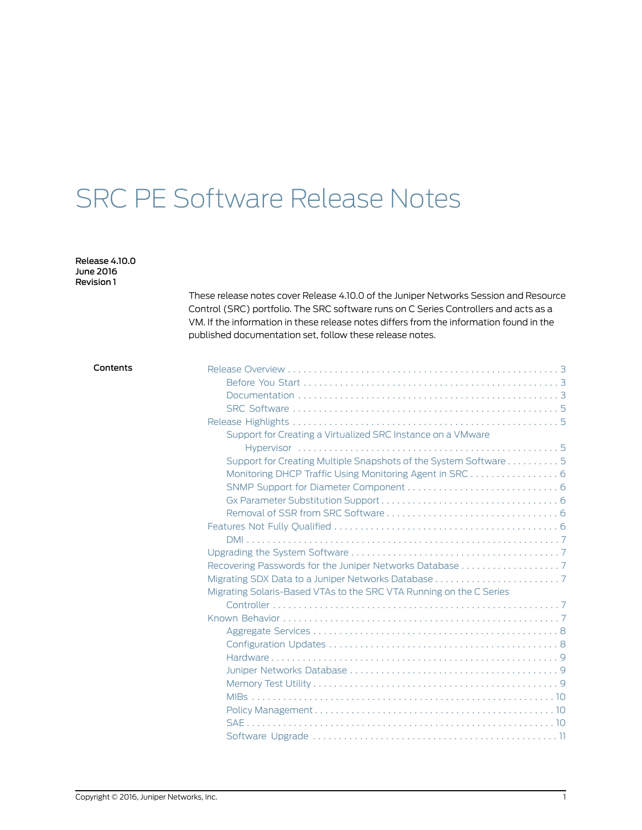# SRC PE Software Release Notes

Release 4.10.0 June 2016 Revision 1

> These release notes cover Release 4.10.0 of the Juniper Networks Session and Resource Control (SRC) portfolio. The SRC software runs on C Series Controllers and acts as a VM. If the information in these release notes differs from the information found in the published documentation set, follow these release notes.

### Contents Release [Overview](#page-2-0) . . . . . . . . . . . . . . . . . . . . . . . . . . . . . . . . . . . . . . . . . . . . . . . . . . . . [3](#page-2-0)

| Support for Creating a Virtualized SRC Instance on a VMware         |  |
|---------------------------------------------------------------------|--|
|                                                                     |  |
| Support for Creating Multiple Snapshots of the System Software 5    |  |
| Monitoring DHCP Traffic Using Monitoring Agent in SRC 6             |  |
|                                                                     |  |
|                                                                     |  |
|                                                                     |  |
|                                                                     |  |
|                                                                     |  |
|                                                                     |  |
| Recovering Passwords for the Juniper Networks Database 7            |  |
|                                                                     |  |
| Migrating Solaris-Based VTAs to the SRC VTA Running on the C Series |  |
|                                                                     |  |
|                                                                     |  |
|                                                                     |  |
|                                                                     |  |
|                                                                     |  |
|                                                                     |  |
|                                                                     |  |
|                                                                     |  |
|                                                                     |  |
|                                                                     |  |
|                                                                     |  |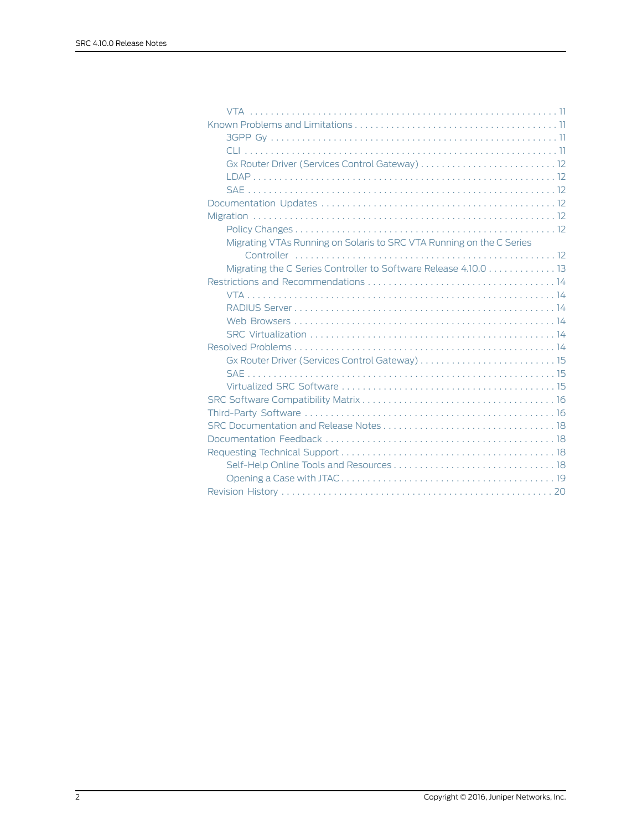| Migrating VTAs Running on Solaris to SRC VTA Running on the C Series |
|----------------------------------------------------------------------|
|                                                                      |
| Migrating the C Series Controller to Software Release 4.10.0 13      |
|                                                                      |
|                                                                      |
|                                                                      |
|                                                                      |
|                                                                      |
|                                                                      |
|                                                                      |
|                                                                      |
|                                                                      |
|                                                                      |
|                                                                      |
|                                                                      |
|                                                                      |
|                                                                      |
|                                                                      |
|                                                                      |
|                                                                      |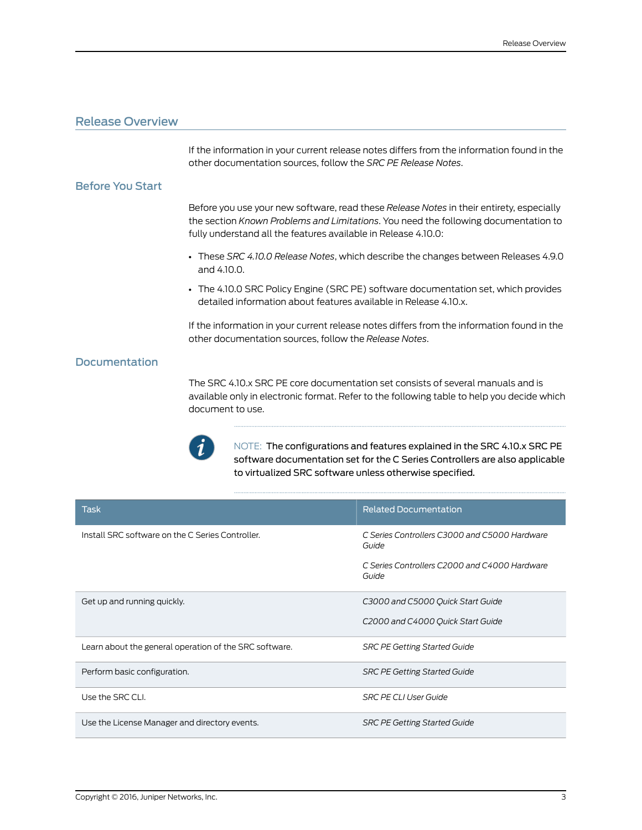# <span id="page-2-0"></span>Release Overview

If the information in your current release notes differs from the information found in the other documentation sources, follow the *SRC PE Release Notes*.

### <span id="page-2-1"></span>Before You Start

Before you use your new software, read these *Release Notes* in their entirety, especially the section *Known Problems and Limitations*. You need the following documentation to fully understand all the features available in Release 4.10.0:

- These *SRC 4.10.0 Release Notes*, which describe the changes between Releases 4.9.0 and 4.10.0.
- The 4.10.0 SRC Policy Engine (SRC PE) software documentation set, which provides detailed information about features available in Release 4.10.x.

If the information in your current release notes differs from the information found in the other documentation sources, follow the *Release Notes*.

## <span id="page-2-2"></span>**Documentation**

The SRC 4.10.x SRC PE core documentation set consists of several manuals and is available only in electronic format. Refer to the following table to help you decide which document to use.



NOTE: The configurations and features explained in the SRC 4.10.x SRC PE software documentation set for the C Series Controllers are also applicable to virtualized SRC software unless otherwise specified.

| <b>Task</b>                                            | <b>Related Documentation</b>                           |
|--------------------------------------------------------|--------------------------------------------------------|
| Install SRC software on the C Series Controller.       | C Series Controllers C3000 and C5000 Hardware<br>Guide |
|                                                        | C Series Controllers C2000 and C4000 Hardware<br>Guide |
| Get up and running quickly.                            | C3000 and C5000 Quick Start Guide                      |
|                                                        | C2000 and C4000 Quick Start Guide                      |
| Learn about the general operation of the SRC software. | <b>SRC PE Getting Started Guide</b>                    |
| Perform basic configuration.                           | <b>SRC PE Getting Started Guide</b>                    |
| Use the SRC CLI.                                       | <b>SRC PE CLI User Guide</b>                           |
| Use the License Manager and directory events.          | <b>SRC PE Getting Started Guide</b>                    |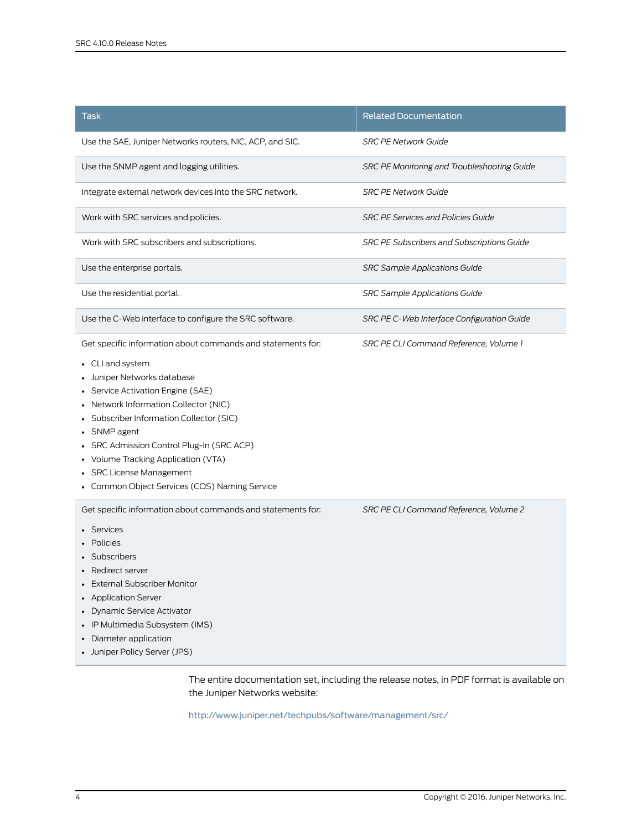| Task                                                                                                                                                                                                                                                                                                                                                                                                                     | <b>Related Documentation</b>                |
|--------------------------------------------------------------------------------------------------------------------------------------------------------------------------------------------------------------------------------------------------------------------------------------------------------------------------------------------------------------------------------------------------------------------------|---------------------------------------------|
| Use the SAE, Juniper Networks routers, NIC, ACP, and SIC.                                                                                                                                                                                                                                                                                                                                                                | <b>SRC PE Network Guide</b>                 |
| Use the SNMP agent and logging utilities.                                                                                                                                                                                                                                                                                                                                                                                | SRC PE Monitoring and Troubleshooting Guide |
| Integrate external network devices into the SRC network.                                                                                                                                                                                                                                                                                                                                                                 | <b>SRC PE Network Guide</b>                 |
| Work with SRC services and policies.                                                                                                                                                                                                                                                                                                                                                                                     | <b>SRC PE Services and Policies Guide</b>   |
| Work with SRC subscribers and subscriptions.                                                                                                                                                                                                                                                                                                                                                                             | SRC PE Subscribers and Subscriptions Guide  |
| Use the enterprise portals.                                                                                                                                                                                                                                                                                                                                                                                              | <b>SRC Sample Applications Guide</b>        |
| Use the residential portal.                                                                                                                                                                                                                                                                                                                                                                                              | <b>SRC Sample Applications Guide</b>        |
| Use the C-Web interface to configure the SRC software.                                                                                                                                                                                                                                                                                                                                                                   | SRC PE C-Web Interface Configuration Guide  |
| Get specific information about commands and statements for:<br>• CLI and system<br>Juniper Networks database<br>• Service Activation Engine (SAE)<br>• Network Information Collector (NIC)<br>• Subscriber Information Collector (SIC)<br>• SNMP agent<br>SRC Admission Control Plug-In (SRC ACP)<br>Volume Tracking Application (VTA)<br><b>SRC License Management</b><br>• Common Object Services (COS) Naming Service | SRC PE CLI Command Reference, Volume 1      |
| Get specific information about commands and statements for:<br>Services<br>Policies<br>• Subscribers<br>Redirect server<br>• External Subscriber Monitor<br>• Application Server<br>• Dynamic Service Activator<br>• IP Multimedia Subsystem (IMS)<br>• Diameter application<br>• Juniper Policy Server (JPS)                                                                                                            | SRC PE CLI Command Reference, Volume 2      |

The entire documentation set, including the release notes, in PDF format is available on the Juniper Networks website:

<http://www.juniper.net/techpubs/software/management/src/>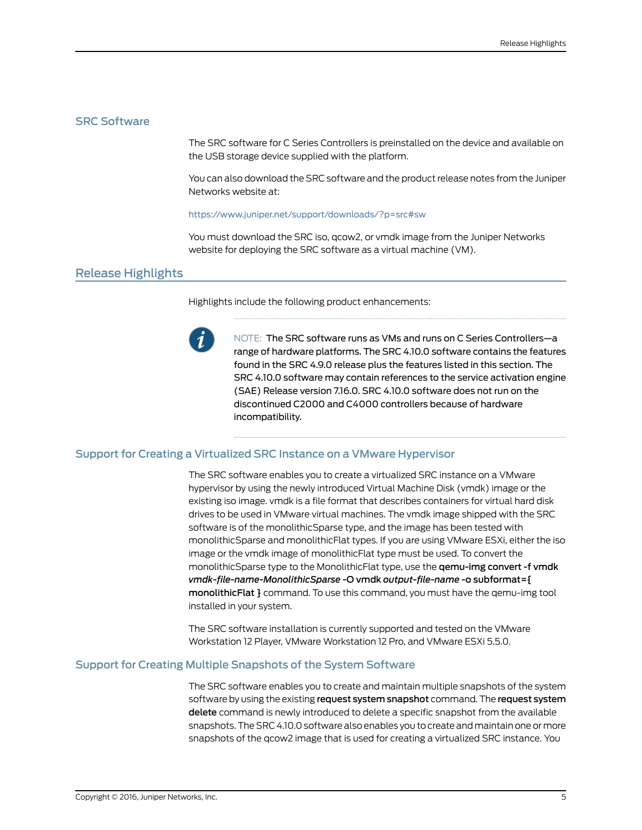# <span id="page-4-0"></span>SRC Software

The SRC software for C Series Controllers is preinstalled on the device and available on the USB storage device supplied with the platform.

You can also download the SRC software and the product release notes from the Juniper Networks website at:

#### <https://www.juniper.net/support/downloads/?p=src#sw>

You must download the SRC iso, qcow2, or vmdk image from the Juniper Networks website for deploying the SRC software as a virtual machine (VM).

# <span id="page-4-1"></span>Release Highlights

Highlights include the following product enhancements:



NOTE: The SRC software runs as VMs and runs on C Series Controllers—a range of hardware platforms. The SRC 4.10.0 software contains the features found in the SRC 4.9.0 release plus the features listed in this section. The SRC 4.10.0 software may contain references to the service activation engine (SAE) Release version 7.16.0. SRC 4.10.0 software does not run on the discontinued C2000 and C4000 controllers because of hardware incompatibility.

#### <span id="page-4-2"></span>Support for Creating a Virtualized SRC Instance on a VMware Hypervisor

The SRC software enables you to create a virtualized SRC instance on a VMware hypervisor by using the newly introduced Virtual Machine Disk (vmdk) image or the existing iso image. vmdk is a file format that describes containers for virtual hard disk drives to be used in VMware virtual machines. The vmdk image shipped with the SRC software is of the monolithicSparse type, and the image has been tested with monolithicSparse and monolithicFlat types. If you are using VMware ESXi, either the iso image or the vmdk image of monolithicFlat type must be used. To convert the monolithicSparse type to the MonolithicFlat type, use the **gemu-img convert -f vmdk** *vmdk-file-name-MonolithicSparse* -O vmdk *output-file-name* -o subformat={ monolithicFlat } command. To use this command, you must have the qemu-img tool installed in your system.

The SRC software installation is currently supported and tested on the VMware Workstation 12 Player, VMware Workstation 12 Pro, and VMware ESXi 5.5.0.

#### <span id="page-4-3"></span>Support for Creating Multiple Snapshots of the System Software

The SRC software enables you to create and maintain multiple snapshots of the system software by using the existing request system snapshot command. The request system delete command is newly introduced to delete a specific snapshot from the available snapshots. The SRC 4.10.0 software also enables you to create and maintain one or more snapshots of the qcow2 image that is used for creating a virtualized SRC instance. You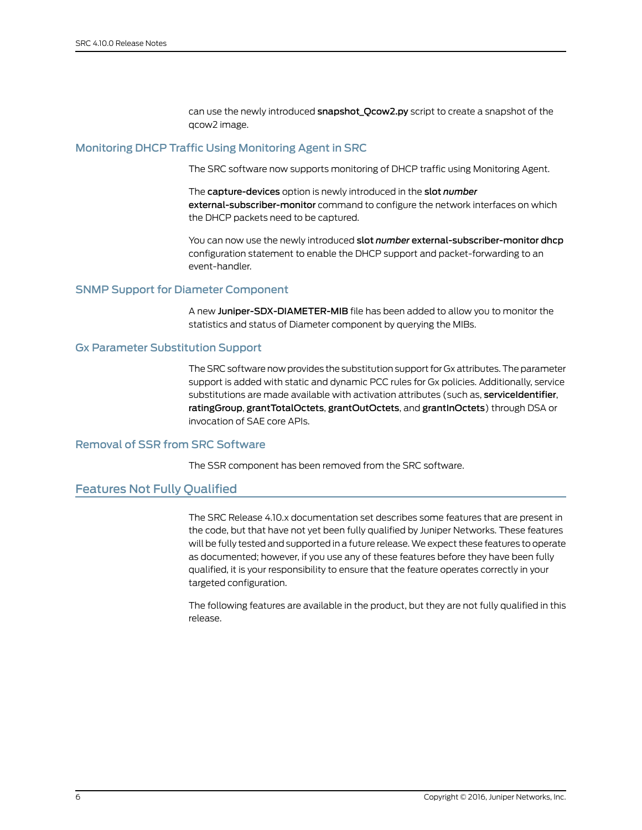can use the newly introduced snapshot\_Qcow2.py script to create a snapshot of the qcow2 image.

# <span id="page-5-0"></span>Monitoring DHCP Traffic Using Monitoring Agent in SRC

The SRC software now supports monitoring of DHCP traffic using Monitoring Agent.

The capture-devices option is newly introduced in the slot *number* external-subscriber-monitor command to configure the network interfaces on which the DHCP packets need to be captured.

You can now use the newly introduced slot *number* external-subscriber-monitor dhcp configuration statement to enable the DHCP support and packet-forwarding to an event-handler.

# <span id="page-5-2"></span><span id="page-5-1"></span>SNMP Support for Diameter Component

A new Juniper-SDX-DIAMETER-MIB file has been added to allow you to monitor the statistics and status of Diameter component by querying the MIBs.

## Gx Parameter Substitution Support

The SRC software now provides the substitution support for Gx attributes.The parameter support is added with static and dynamic PCC rules for Gx policies. Additionally, service substitutions are made available with activation attributes (such as, serviceIdentifier, ratingGroup, grantTotalOctets, grantOutOctets, and grantInOctets) through DSA or invocation of SAE core APIs.

# <span id="page-5-4"></span><span id="page-5-3"></span>Removal of SSR from SRC Software

The SSR component has been removed from the SRC software.

# Features Not Fully Qualified

The SRC Release 4.10.x documentation set describes some features that are present in the code, but that have not yet been fully qualified by Juniper Networks. These features will be fully tested and supported in a future release. We expect these features to operate as documented; however, if you use any of these features before they have been fully qualified, it is your responsibility to ensure that the feature operates correctly in your targeted configuration.

The following features are available in the product, but they are not fully qualified in this release.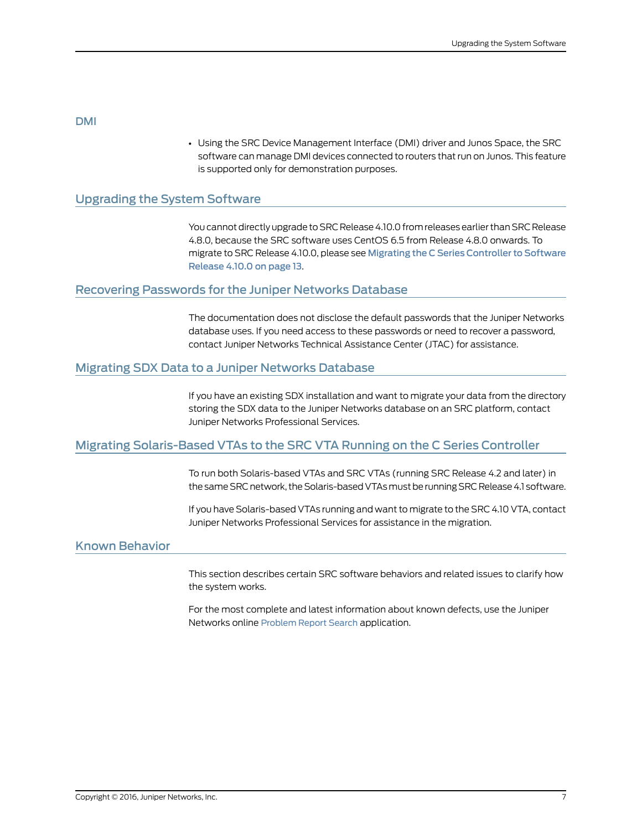#### <span id="page-6-0"></span>DMI

• Using the SRC Device Management Interface (DMI) driver and Junos Space, the SRC software can manage DMI devices connected to routers that run on Junos. This feature is supported only for demonstration purposes.

# <span id="page-6-1"></span>Upgrading the System Software

You cannot directly upgrade to SRC Release 4.10.0 from releases earlier than SRC Release 4.8.0, because the SRC software uses CentOS 6.5 from Release 4.8.0 onwards. To migrate to SRC Release 4.10.0, please see Migrating the C Series [Controller](#page-12-0) to Software [Release](#page-12-0) 4.10.0 on page 13.

#### <span id="page-6-2"></span>Recovering Passwords for the Juniper Networks Database

The documentation does not disclose the default passwords that the Juniper Networks database uses. If you need access to these passwords or need to recover a password, contact Juniper Networks Technical Assistance Center (JTAC) for assistance.

#### <span id="page-6-4"></span><span id="page-6-3"></span>Migrating SDX Data to a Juniper Networks Database

If you have an existing SDX installation and want to migrate your data from the directory storing the SDX data to the Juniper Networks database on an SRC platform, contact Juniper Networks Professional Services.

# <span id="page-6-5"></span>Migrating Solaris-Based VTAs to the SRC VTA Running on the C Series Controller

To run both Solaris-based VTAs and SRC VTAs (running SRC Release 4.2 and later) in the same SRC network, the Solaris-based VTAs must be running SRC Release 4.1 software.

If you have Solaris-based VTAs running and want to migrate to the SRC 4.10 VTA, contact Juniper Networks Professional Services for assistance in the migration.

#### Known Behavior

This section describes certain SRC software behaviors and related issues to clarify how the system works.

For the most complete and latest information about known defects, use the Juniper Networks online [Problem](https://prsearch.juniper.net) Report Search application.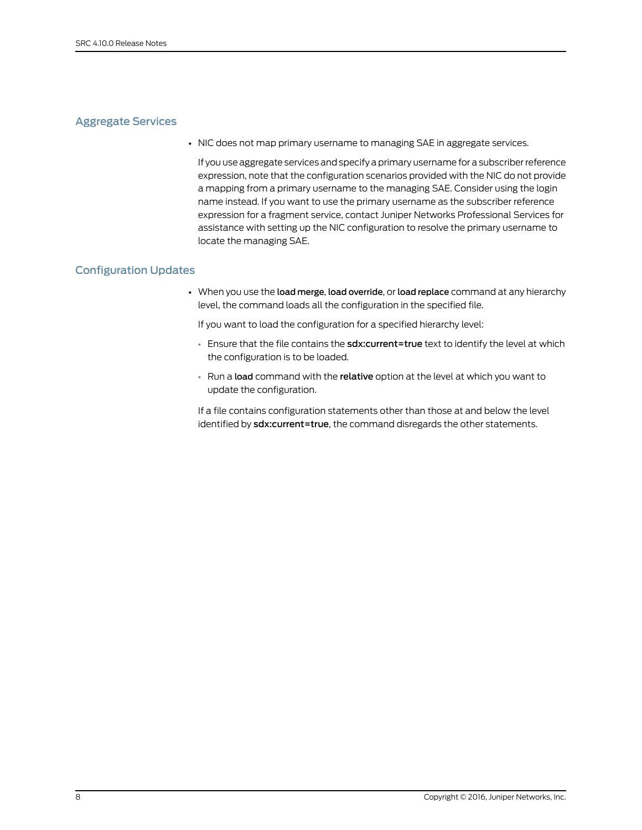# <span id="page-7-0"></span>Aggregate Services

• NIC does not map primary username to managing SAE in aggregate services.

If you use aggregate services and specify a primary username for a subscriberreference expression, note that the configuration scenarios provided with the NIC do not provide a mapping from a primary username to the managing SAE. Consider using the login name instead. If you want to use the primary username as the subscriber reference expression for a fragment service, contact Juniper Networks Professional Services for assistance with setting up the NIC configuration to resolve the primary username to locate the managing SAE.

# <span id="page-7-1"></span>Configuration Updates

• When you use the load merge, load override, or load replace command at any hierarchy level, the command loads all the configuration in the specified file.

If you want to load the configuration for a specified hierarchy level:

- Ensure that the file contains the sdx: current=true text to identify the level at which the configuration is to be loaded.
- Run a load command with the relative option at the level at which you want to update the configuration.

If a file contains configuration statements other than those at and below the level identified by sdx:current=true, the command disregards the other statements.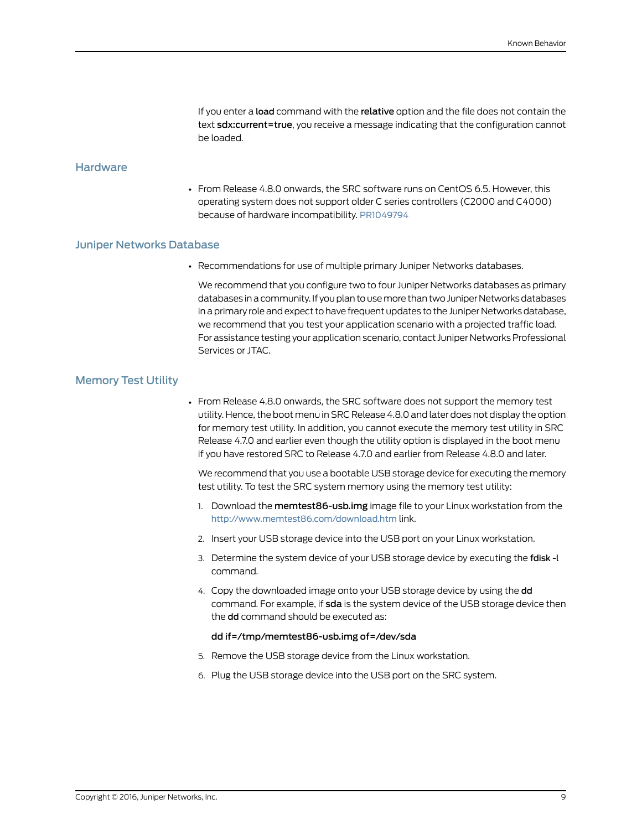If you enter a load command with the relative option and the file does not contain the text **sdx:current=true**, you receive a message indicating that the configuration cannot be loaded.

# <span id="page-8-0"></span>**Hardware**

• From Release 4.8.0 onwards, the SRC software runs on CentOS 6.5. However, this operating system does not support older C series controllers (C2000 and C4000) because of hardware incompatibility. [PR1049794](https://prsearch.juniper.net/PR1049794)

#### <span id="page-8-1"></span>Juniper Networks Database

• Recommendations for use of multiple primary Juniper Networks databases.

We recommend that you configure two to four Juniper Networks databases as primary databases in a community. If you plan to use more than two Juniper Networks databases in a primary role and expect to have frequent updates to the Juniper Networks database, we recommend that you test your application scenario with a projected traffic load. For assistance testing your application scenario, contact Juniper Networks Professional Services or JTAC.

#### <span id="page-8-2"></span>Memory Test Utility

• From Release 4.8.0 onwards, the SRC software does not support the memory test utility. Hence, the boot menu in SRC Release 4.8.0 and later does not display the option for memory test utility. In addition, you cannot execute the memory test utility in SRC Release 4.7.0 and earlier even though the utility option is displayed in the boot menu if you have restored SRC to Release 4.7.0 and earlier from Release 4.8.0 and later.

We recommend that you use a bootable USB storage device for executing the memory test utility. To test the SRC system memory using the memory test utility:

- 1. Download the memtest86-usb.img image file to your Linux workstation from the <http://www.memtest86.com/download.htm> link.
- 2. Insert your USB storage device into the USB port on your Linux workstation.
- 3. Determine the system device of your USB storage device by executing the fdisk -l command.
- 4. Copy the downloaded image onto your USB storage device by using the dd command. For example, if sda is the system device of the USB storage device then the dd command should be executed as:

#### dd if=/tmp/memtest86-usb.img of=/dev/sda

- 5. Remove the USB storage device from the Linux workstation.
- 6. Plug the USB storage device into the USB port on the SRC system.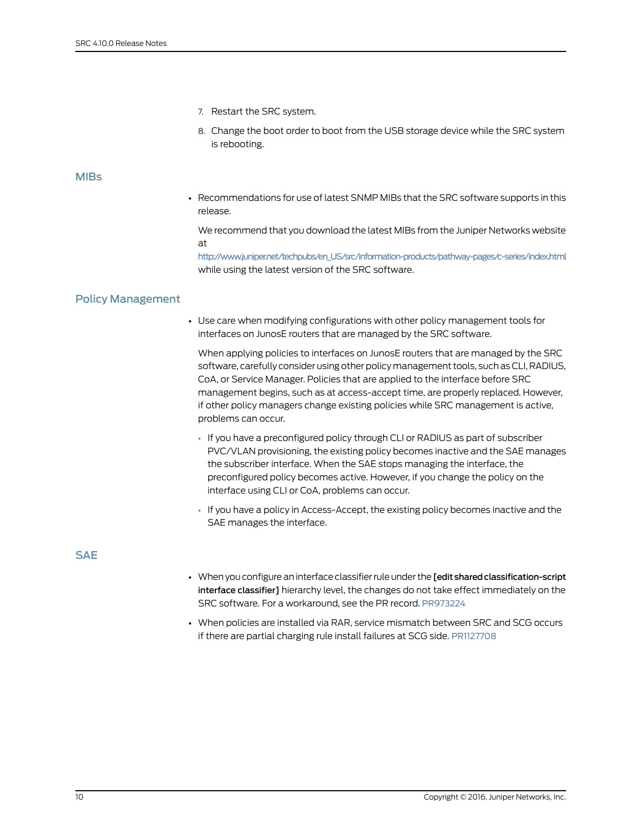- 7. Restart the SRC system.
- 8. Change the boot order to boot from the USB storage device while the SRC system is rebooting.

#### <span id="page-9-0"></span>MIBs

• Recommendations for use of latest SNMP MIBs that the SRC software supports in this release.

We recommend that you download the latest MIBs from the Juniper Networks website at

[http://www.juniper.net/techpubs/en\\_US/src/information-products/pathway-pages/c-series/index.html](http://www.juniper.net/techpubs/en_US/src/information-products/pathway-pages/c-series/index.html) while using the latest version of the SRC software.

## <span id="page-9-1"></span>Policy Management

• Use care when modifying configurations with other policy management tools for interfaces on JunosE routers that are managed by the SRC software.

When applying policies to interfaces on JunosE routers that are managed by the SRC software, carefully consider using other policy management tools, such as CLI, RADIUS, CoA, or Service Manager. Policies that are applied to the interface before SRC management begins, such as at access-accept time, are properly replaced. However, if other policy managers change existing policies while SRC management is active, problems can occur.

- If you have a preconfigured policy through CLI or RADIUS as part of subscriber PVC/VLAN provisioning, the existing policy becomes inactive and the SAE manages the subscriber interface. When the SAE stops managing the interface, the preconfigured policy becomes active. However, if you change the policy on the interface using CLI or CoA, problems can occur.
- If you have a policy in Access-Accept, the existing policy becomes inactive and the SAE manages the interface.

<span id="page-9-2"></span>**SAE** 

- When you configure an interface classifierrule under the [edit sharedclassification-script interface classifier] hierarchy level, the changes do not take effect immediately on the SRC software. For a workaround, see the PR record. [PR973224](https://prsearch.juniper.net/PR973224)
- When policies are installed via RAR, service mismatch between SRC and SCG occurs if there are partial charging rule install failures at SCG side. [PR1127708](https://prsearch.juniper.net/PR1127708)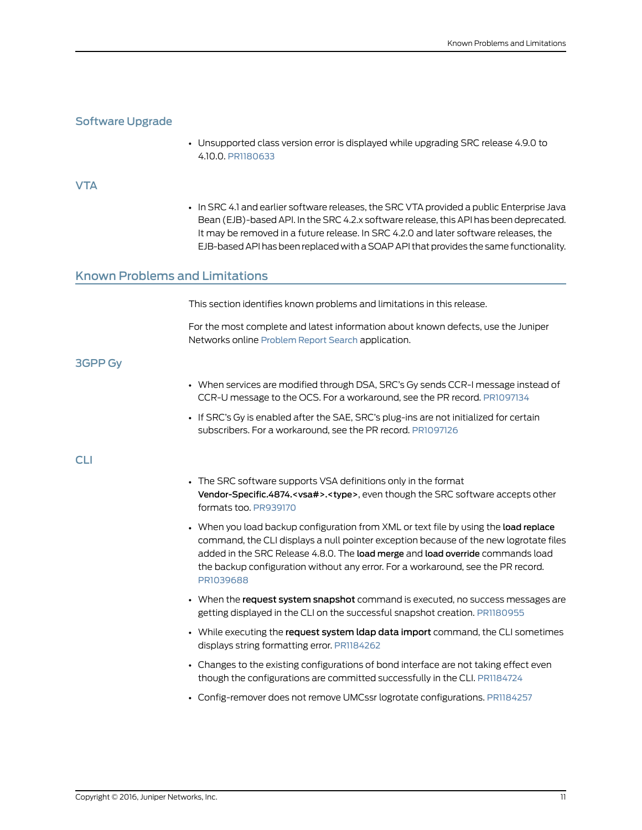# <span id="page-10-0"></span>Software Upgrade

• Unsupported class version error is displayed while upgrading SRC release 4.9.0 to 4.10.0. [PR1180633](https://prsearch.juniper.net/PR1180633)

#### <span id="page-10-1"></span>**VTA**

• In SRC 4.1 and earlier software releases, the SRC VTA provided a public Enterprise Java Bean (EJB)-based API. In the SRC 4.2.x software release, this API has been deprecated. It may be removed in a future release. In SRC 4.2.0 and later software releases, the EJB-based API has been replaced with a SOAP API that provides the same functionality.

# <span id="page-10-2"></span>Known Problems and Limitations

This section identifies known problems and limitations in this release.

For the most complete and latest information about known defects, use the Juniper Networks online [Problem](https://prsearch.juniper.net) Report Search application.

#### <span id="page-10-3"></span>3GPP Gy

- When services are modified through DSA, SRC's Gy sends CCR-I message instead of CCR-U message to the OCS. For a workaround, see the PR record. [PR1097134](https://prsearch.juniper.net/PR1097134)
- If SRC's Gy is enabled after the SAE, SRC's plug-ins are not initialized for certain subscribers. For a workaround, see the PR record. [PR1097126](https://prsearch.juniper.net/PR1097126)

#### <span id="page-10-4"></span>CLI

- The SRC software supports VSA definitions only in the format Vendor-Specific.4874.<vsa#>.<type>, even though the SRC software accepts other formats too. [PR939170](https://prsearch.juniper.net/PR939170)
- When you load backup configuration from XML or text file by using the load replace command, the CLI displays a null pointer exception because of the new logrotate files added in the SRC Release 4.8.0. The load merge and load override commands load the backup configuration without any error. For a workaround, see the PR record. [PR1039688](https://prsearch.juniper.net/PR1039688)
- When the request system snapshot command is executed, no success messages are getting displayed in the CLI on the successful snapshot creation. [PR1180955](https://prsearch.juniper.net/PR1180955)
- While executing the request system Idap data import command, the CLI sometimes displays string formatting error. [PR1184262](https://prsearch.juniper.net/PR1184262)
- Changes to the existing configurations of bond interface are not taking effect even though the configurations are committed successfully in the CLI. [PR1184724](https://prsearch.juniper.net/PR1184724)
- Config-remover does not remove UMCssr logrotate configurations. [PR1184257](https://prsearch.juniper.net/PR1184257)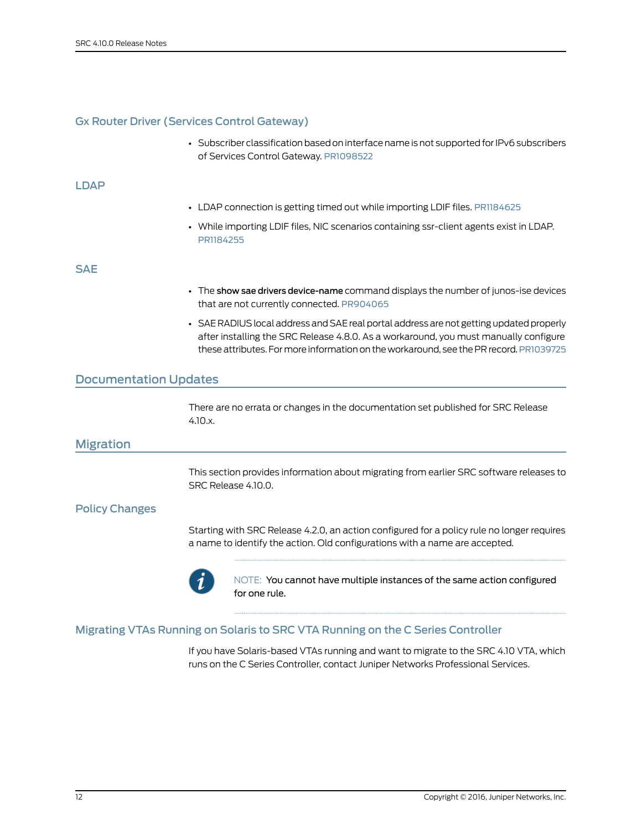# <span id="page-11-0"></span>Gx Router Driver (Services Control Gateway)

• Subscriber classification based on interface name is not supported for IPv6 subscribers of Services Control Gateway. [PR1098522](https://prsearch.juniper.net/PR1098522)

#### <span id="page-11-1"></span>LDAP

- LDAP connection is getting timed out while importing LDIF files. [PR1184625](https://prsearch.juniper.net/PR1184625)
- While importing LDIF files, NIC scenarios containing ssr-client agents exist in LDAP. [PR1184255](https://prsearch.juniper.net/PR1184255)

#### <span id="page-11-2"></span>SAE

- The show sae drivers device-name command displays the number of junos-ise devices that are not currently connected. [PR904065](https://prsearch.juniper.net/PR904065)
- SAE RADIUS local address and SAE real portal address are not getting updated properly after installing the SRC Release 4.8.0. As a workaround, you must manually configure these attributes. Formore information on the workaround, see the PR record. [PR1039725](https://prsearch.juniper.net/PR1039725)

# <span id="page-11-4"></span><span id="page-11-3"></span>Documentation Updates

There are no errata or changes in the documentation set published for SRC Release 4.10.x.

#### <span id="page-11-5"></span>Migration

This section provides information about migrating from earlier SRC software releases to SRC Release 4.10.0.

#### <span id="page-11-6"></span>Policy Changes

Starting with SRC Release 4.2.0, an action configured for a policy rule no longer requires a name to identify the action. Old configurations with a name are accepted.



NOTE: You cannot have multiple instances of the same action configured for one rule.

# Migrating VTAs Running on Solaris to SRC VTA Running on the C Series Controller

If you have Solaris-based VTAs running and want to migrate to the SRC 4.10 VTA, which runs on the C Series Controller, contact Juniper Networks Professional Services.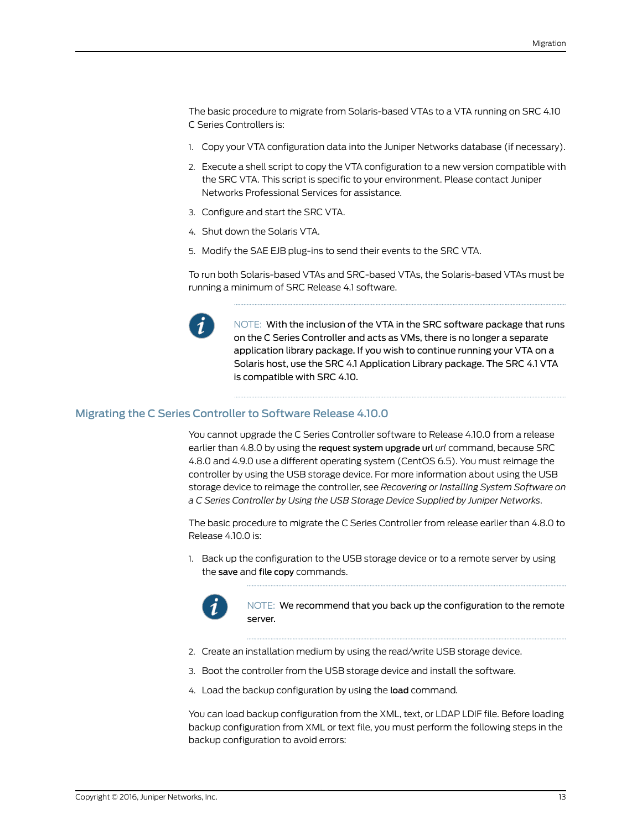The basic procedure to migrate from Solaris-based VTAs to a VTA running on SRC 4.10 C Series Controllers is:

- 1. Copy your VTA configuration data into the Juniper Networks database (if necessary).
- 2. Execute a shell script to copy the VTA configuration to a new version compatible with the SRC VTA. This script is specific to your environment. Please contact Juniper Networks Professional Services for assistance.
- 3. Configure and start the SRC VTA.
- 4. Shut down the Solaris VTA.
- 5. Modify the SAE EJB plug-ins to send their events to the SRC VTA.

To run both Solaris-based VTAs and SRC-based VTAs, the Solaris-based VTAs must be running a minimum of SRC Release 4.1 software.



NOTE: With the inclusion of the VTA in the SRC software package that runs on the C Series Controller and acts as VMs, there is no longer a separate application library package. If you wish to continue running your VTA on a Solaris host, use the SRC 4.1 Application Library package. The SRC 4.1 VTA is compatible with SRC 4.10.

## <span id="page-12-0"></span>Migrating the C Series Controller to Software Release 4.10.0

You cannot upgrade the C Series Controller software to Release 4.10.0 from a release earlier than 4.8.0 by using the request system upgrade url *url* command, because SRC 4.8.0 and 4.9.0 use a different operating system (CentOS 6.5). You must reimage the controller by using the USB storage device. For more information about using the USB storage device to reimage the controller, see *Recovering or Installing System Software on a C Series Controller by Using the USB Storage Device Supplied by Juniper Networks*.

The basic procedure to migrate the C Series Controller from release earlier than 4.8.0 to Release 4.10.0 is:

1. Back up the configuration to the USB storage device or to a remote server by using the save and file copy commands.



NOTE: We recommend that you back up the configuration to the remote server.

- 2. Create an installation medium by using the read/write USB storage device.
- 3. Boot the controller from the USB storage device and install the software.
- 4. Load the backup configuration by using the load command.

You can load backup configuration from the XML, text, or LDAP LDIF file. Before loading backup configuration from XML or text file, you must perform the following steps in the backup configuration to avoid errors: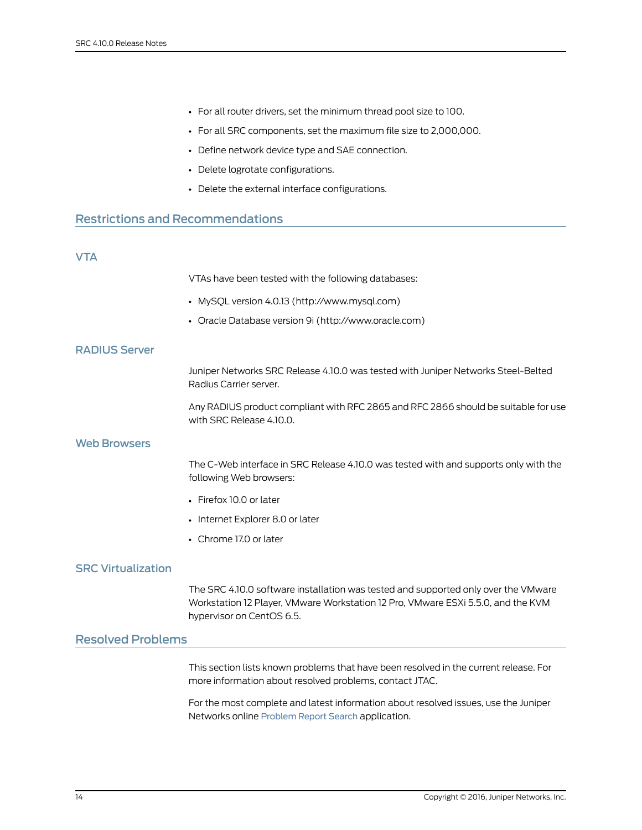- For all router drivers, set the minimum thread pool size to 100.
- For all SRC components, set the maximum file size to 2,000,000.
- Define network device type and SAE connection.
- Delete logrotate configurations.
- Delete the external interface configurations.

# <span id="page-13-1"></span><span id="page-13-0"></span>Restrictions and Recommendations

# VTA

VTAs have been tested with the following databases:

- MySQL version 4.0.13 (http://www.mysql.com)
- Oracle Database version 9i (http://www.oracle.com)

#### <span id="page-13-2"></span>RADIUS Server

Juniper Networks SRC Release 4.10.0 was tested with Juniper Networks Steel-Belted Radius Carrier server.

Any RADIUS product compliant with RFC 2865 and RFC 2866 should be suitable for use with SRC Release 4.10.0.

# <span id="page-13-3"></span>Web Browsers

The C-Web interface in SRC Release 4.10.0 was tested with and supports only with the following Web browsers:

- Firefox 10.0 or later
- Internet Explorer 8.0 or later
- Chrome 17.0 or later

# <span id="page-13-5"></span><span id="page-13-4"></span>SRC Virtualization

The SRC 4.10.0 software installation was tested and supported only over the VMware Workstation 12 Player, VMware Workstation 12 Pro, VMware ESXi 5.5.0, and the KVM hypervisor on CentOS 6.5.

# Resolved Problems

This section lists known problems that have been resolved in the current release. For more information about resolved problems, contact JTAC.

For the most complete and latest information about resolved issues, use the Juniper Networks online [Problem](https://prsearch.juniper.net) Report Search application.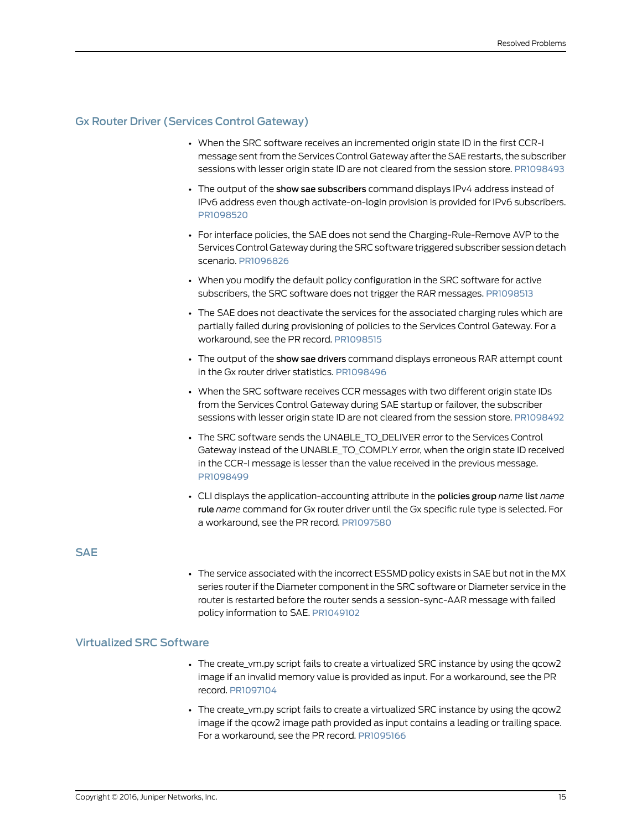# <span id="page-14-0"></span>Gx Router Driver (Services Control Gateway)

- When the SRC software receives an incremented origin state ID in the first CCR-I message sent from the Services Control Gateway after the SAE restarts, the subscriber sessions with lesser origin state ID are not cleared from the session store. [PR1098493](https://prsearch.juniper.net/PR1098493)
- The output of the show sae subscribers command displays IPv4 address instead of IPv6 address even though activate-on-login provision is provided for IPv6 subscribers. [PR1098520](https://prsearch.juniper.net/PR1098520)
- For interface policies, the SAE does not send the Charging-Rule-Remove AVP to the Services Control Gateway during the SRC software triggered subscriber session detach scenario. [PR1096826](https://prsearch.juniper.net/PR1096826)
- When you modify the default policy configuration in the SRC software for active subscribers, the SRC software does not trigger the RAR messages. [PR1098513](https://prsearch.juniper.net/PR1098513)
- The SAE does not deactivate the services for the associated charging rules which are partially failed during provisioning of policies to the Services Control Gateway. For a workaround, see the PR record. [PR1098515](https://prsearch.juniper.net/PR1098515)
- The output of the show sae drivers command displays erroneous RAR attempt count in the Gx router driver statistics. [PR1098496](https://prsearch.juniper.net/PR1098496)
- When the SRC software receives CCR messages with two different origin state IDs from the Services Control Gateway during SAE startup or failover, the subscriber sessions with lesser origin state ID are not cleared from the session store. [PR1098492](https://prsearch.juniper.net/PR1098492)
- The SRC software sends the UNABLE\_TO\_DELIVER error to the Services Control Gateway instead of the UNABLE\_TO\_COMPLY error, when the origin state ID received in the CCR-I message is lesser than the value received in the previous message. [PR1098499](https://prsearch.juniper.net/PR1098499)
- CLI displays the application-accounting attribute in the policies group *name* list *name* rule *name* command for Gx router driver until the Gx specific rule type is selected. For a workaround, see the PR record. [PR1097580](https://prsearch.juniper.net/PR1097580)

# <span id="page-14-2"></span><span id="page-14-1"></span>SAE

• The service associated with the incorrect ESSMD policy exists in SAE but not in the MX series router if the Diameter component in the SRC software or Diameter service in the router is restarted before the router sends a session-sync-AAR message with failed policy information to SAE. [PR1049102](https://prsearch.juniper.net/PR1049102)

# Virtualized SRC Software

- The create\_vm.py script fails to create a virtualized SRC instance by using the qcow2 image if an invalid memory value is provided as input. For a workaround, see the PR record. [PR1097104](https://prsearch.juniper.net/PR1097104)
- The create\_vm.py script fails to create a virtualized SRC instance by using the qcow2 image if the qcow2 image path provided as input contains a leading or trailing space. For a workaround, see the PR record. [PR1095166](https://prsearch.juniper.net/PR1095166)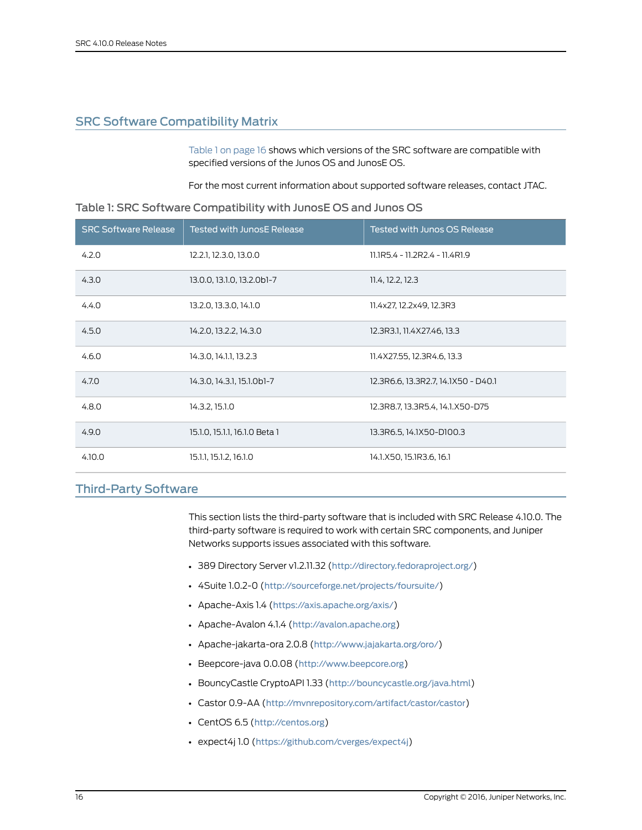# <span id="page-15-0"></span>SRC Software Compatibility Matrix

[Table](#page-15-2) 1 on page 16 shows which versions of the SRC software are compatible with specified versions of the Junos OS and JunosE OS.

<span id="page-15-2"></span>For the most current information about supported software releases, contact JTAC.

| <b>SRC Software Release</b> | <b>Tested with JunosE Release</b> | <b>Tested with Junos OS Release</b> |
|-----------------------------|-----------------------------------|-------------------------------------|
| 4.2.0                       | 12.2.1, 12.3.0, 13.0.0            | 11.1R5.4 - 11.2R2.4 - 11.4R1.9      |
| 4.3.0                       | 13.0.0, 13.1.0, 13.2.0b1-7        | 11.4, 12.2, 12.3                    |
| 4.4.0                       | 13.2.0, 13.3.0, 14.1.0            | 11.4x27, 12.2x49, 12.3R3            |
| 4.5.0                       | 14.2.0, 13.2.2, 14.3.0            | 12.3R3.1, 11.4X27.46, 13.3          |
| 4.6.0                       | 14.3.0, 14.1.1, 13.2.3            | 11.4X27.55, 12.3R4.6, 13.3          |
| 4.7.0                       | 14.3.0, 14.3.1, 15.1.0b1-7        | 12.3R6.6, 13.3R2.7, 14.1X50 - D40.1 |
| 4.8.0                       | 14.3.2, 15.1.0                    | 12.3R8.7, 13.3R5.4, 14.1.X50-D75    |
| 4.9.0                       | 15.1.0, 15.1.1, 16.1.0 Beta 1     | 13.3R6.5, 14.1X50-D100.3            |
| 4.10.0                      | 15.1.1, 15.1.2, 16.1.0            | 14.1.X50, 15.1R3.6, 16.1            |

# <span id="page-15-1"></span>Third-Party Software

This section lists the third-party software that is included with SRC Release 4.10.0. The third-party software is required to work with certain SRC components, and Juniper Networks supports issues associated with this software.

- 389 Directory Server v1.2.11.32 (<http://directory.fedoraproject.org/>)
- 4Suite 1.0.2-0 (<http://sourceforge.net/projects/foursuite/>)
- Apache-Axis 1.4 (<https://axis.apache.org/axis/>)
- Apache-Avalon 4.1.4 (<http://avalon.apache.org>)
- Apache-jakarta-ora 2.0.8 (<http://www.jajakarta.org/oro/>)
- Beepcore-java 0.0.08 (<http://www.beepcore.org>)
- BouncyCastle CryptoAPI 1.33 (<http://bouncycastle.org/java.html>)
- Castor 0.9-AA (<http://mvnrepository.com/artifact/castor/castor>)
- CentOS 6.5 (<http://centos.org>)
- expect4j 1.0 (<https://github.com/cverges/expect4j>)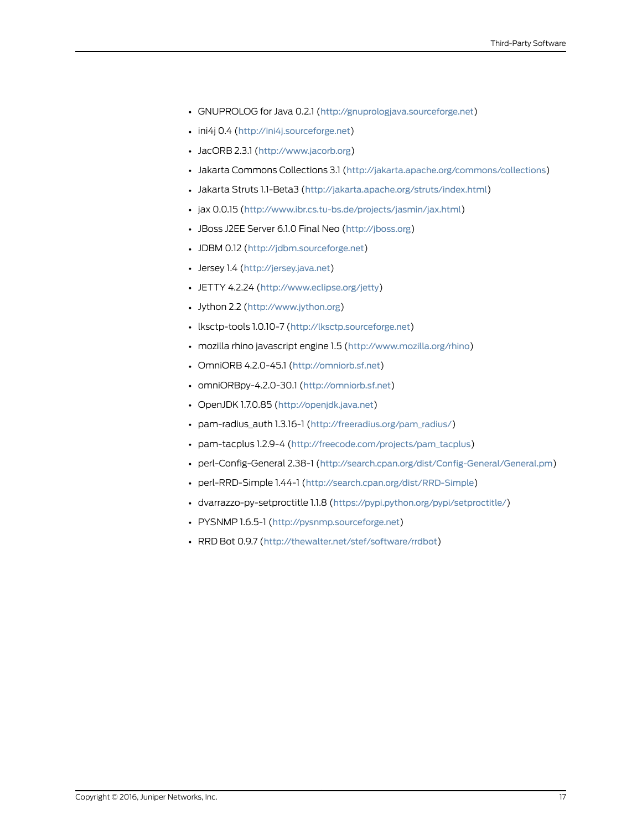- GNUPROLOG for Java 0.2.1 (<http://gnuprologjava.sourceforge.net>)
- ini4j 0.4 (<http://ini4j.sourceforge.net>)
- JacORB 2.3.1 (<http://www.jacorb.org>)
- Jakarta Commons Collections 3.1 (<http://jakarta.apache.org/commons/collections>)
- Jakarta Struts 1.1-Beta3 (<http://jakarta.apache.org/struts/index.html>)
- jax 0.0.15 (<http://www.ibr.cs.tu-bs.de/projects/jasmin/jax.html>)
- JBoss J2EE Server 6.1.0 Final Neo (<http://jboss.org>)
- JDBM 0.12 (<http://jdbm.sourceforge.net>)
- Jersey 1.4 (<http://jersey.java.net>)
- JETTY 4.2.24 (<http://www.eclipse.org/jetty>)
- Jython 2.2 (<http://www.jython.org>)
- lksctp-tools 1.0.10-7 (<http://lksctp.sourceforge.net>)
- mozilla rhino javascript engine 1.5 (<http://www.mozilla.org/rhino>)
- OmniORB 4.2.0-45.1 (<http://omniorb.sf.net>)
- omniORBpy-4.2.0-30.1 (<http://omniorb.sf.net>)
- OpenJDK 1.7.0.85 (<http://openjdk.java.net>)
- pam-radius\_auth 1.3.16-1 ([http://freeradius.org/pam\\_radius/](http://freeradius.org/pam_radius/))
- pam-tacplus 1.2.9-4 ([http://freecode.com/projects/pam\\_tacplus](http://freecode.com/projects/pam_tacplus))
- perl-Config-General 2.38-1 (<http://search.cpan.org/dist/Config-General/General.pm>)
- perl-RRD-Simple 1.44-1 (<http://search.cpan.org/dist/RRD-Simple>)
- dvarrazzo-py-setproctitle 1.1.8 (<https://pypi.python.org/pypi/setproctitle/>)
- PYSNMP 1.6.5-1 (<http://pysnmp.sourceforge.net>)
- RRD Bot 0.9.7 (<http://thewalter.net/stef/software/rrdbot>)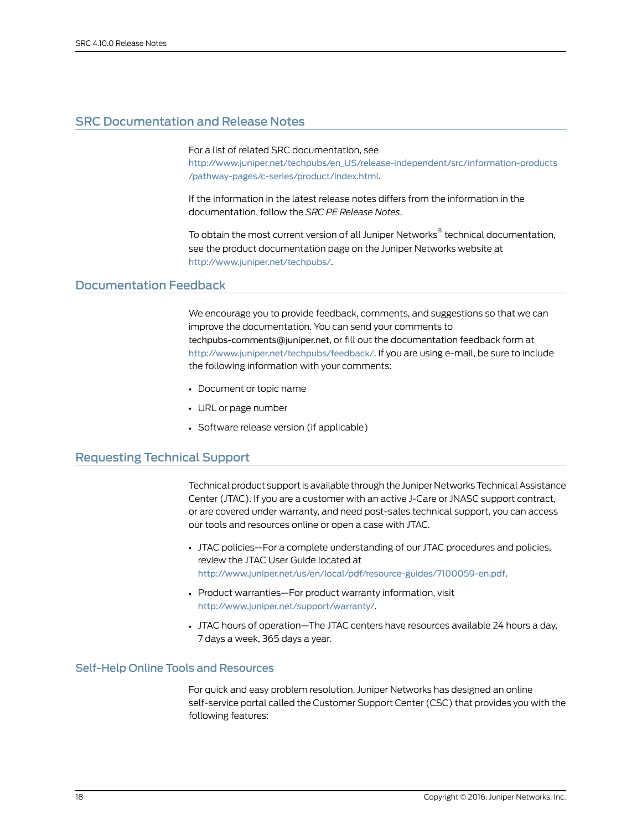# <span id="page-17-0"></span>SRC Documentation and Release Notes

For a list of related SRC documentation, see

[http://www.juniper.net/techpubs/en\\_US/release-independent/src/information-products](http://www.juniper.net/techpubs/en_US/release-independent/src/information-products/pathway-pages/c-series/product/index.html) [/pathway-pages/c-series/product/index.html](http://www.juniper.net/techpubs/en_US/release-independent/src/information-products/pathway-pages/c-series/product/index.html).

If the information in the latest release notes differs from the information in the documentation, follow the *SRC PE Release Notes*.

To obtain the most current version of all Juniper Networks ® technical documentation, see the product documentation page on the Juniper Networks website at <http://www.juniper.net/techpubs/>.

### <span id="page-17-1"></span>Documentation Feedback

We encourage you to provide feedback, comments, and suggestions so that we can improve the documentation. You can send your comments to [techpubs-comments@juniper.net](mailto:techpubs-comments@juniper.net?subject=), or fill out the documentation feedback form at <http://www.juniper.net/techpubs/feedback/>. If you are using e-mail, be sure to include the following information with your comments:

- Document or topic name
- URL or page number
- Software release version (if applicable)

# <span id="page-17-2"></span>Requesting Technical Support

Technical product support is available through the Juniper NetworksTechnical Assistance Center (JTAC). If you are a customer with an active J-Care or JNASC support contract, or are covered under warranty, and need post-sales technical support, you can access our tools and resources online or open a case with JTAC.

- JTAC policies—For a complete understanding of our JTAC procedures and policies, review the JTAC User Guide located at <http://www.juniper.net/us/en/local/pdf/resource-guides/7100059-en.pdf>.
- Product warranties—For product warranty information, visit <http://www.juniper.net/support/warranty/>.
- JTAC hours of operation—The JTAC centers have resources available 24 hours a day, 7 days a week, 365 days a year.

### <span id="page-17-3"></span>Self-Help Online Tools and Resources

For quick and easy problem resolution, Juniper Networks has designed an online self-service portal called the Customer Support Center (CSC) that provides you with the following features: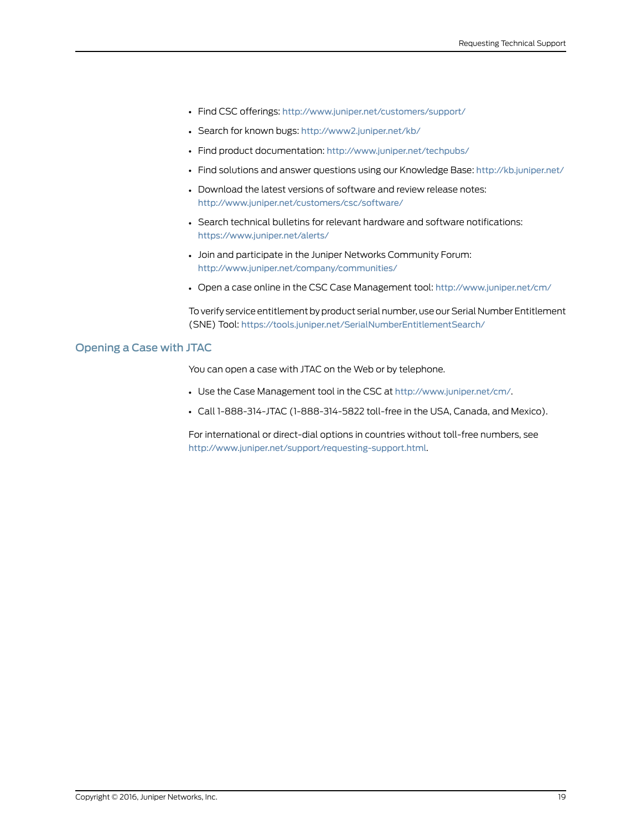- Find CSC offerings: <http://www.juniper.net/customers/support/>
- Search for known bugs: <http://www2.juniper.net/kb/>
- Find product documentation: <http://www.juniper.net/techpubs/>
- Find solutions and answer questions using our Knowledge Base: <http://kb.juniper.net/>
- Download the latest versions of software and review release notes: <http://www.juniper.net/customers/csc/software/>
- Search technical bulletins for relevant hardware and software notifications: <https://www.juniper.net/alerts/>
- Join and participate in the Juniper Networks Community Forum: <http://www.juniper.net/company/communities/>
- Open a case online in the CSC Case Management tool: <http://www.juniper.net/cm/>

To verify service entitlement by product serial number, use our Serial Number Entitlement (SNE) Tool: <https://tools.juniper.net/SerialNumberEntitlementSearch/>

#### <span id="page-18-0"></span>Opening a Case with JTAC

You can open a case with JTAC on the Web or by telephone.

- Use the Case Management tool in the CSC at <http://www.juniper.net/cm/>.
- Call 1-888-314-JTAC (1-888-314-5822 toll-free in the USA, Canada, and Mexico).

For international or direct-dial options in countries without toll-free numbers, see <http://www.juniper.net/support/requesting-support.html>.